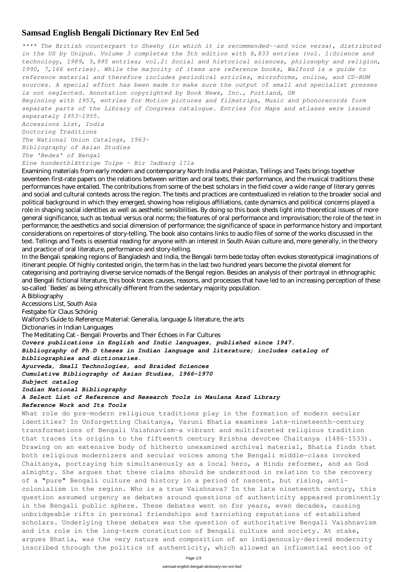## **Samsad English Bengali Dictionary Rev Enl 5ed**

*\*\*\*\* The British counterpart to Sheehy (in which it is recommended--and vice versa), distributed in the US by Unipub. Volume 3 completes the 5th edition with 8,833 entries (vol. 1:Science and technology, 1989, 5,995 entries; vol.2: Social and historical sciences, philosophy and religion, 1990, 7,166 entries). While the majority of items are reference books, Walford is a guide to reference material and therefore includes periodical articles, microforms, online, and CD-ROM sources. A special effort has been made to make sure the output of small and specialist presses is not neglected. Annotation copyrighted by Book News, Inc., Portland, OR Beginning with 1953, entries for Motion pictures and filmstrips, Music and phonorecords form separate parts of the Library of Congress catalogue. Entries for Maps and atlases were issued separately 1953-1955. Accessions List, India Doctoring Traditions The National Union Catalogs, 1963- Bibliography of Asian Studies The 'Bedes' of Bengal Eine hundertblättrige Tulpe - Bir ?adbarg l?la*

Examining materials from early modern and contemporary North India and Pakistan, Tellings and Texts brings together seventeen first-rate papers on the relations between written and oral texts, their performance, and the musical traditions these performances have entailed. The contributions from some of the best scholars in the field cover a wide range of literary genres and social and cultural contexts across the region. The texts and practices are contextualized in relation to the broader social and political background in which they emerged, showing how religious affiliations, caste dynamics and political concerns played a role in shaping social identities as well as aesthetic sensibilities. By doing so this book sheds light into theoretical issues of more general significance, such as textual versus oral norms; the features of oral performance and improvisation; the role of the text in performance; the aesthetics and social dimension of performance; the significance of space in performance history and important considerations on repertoires of story-telling. The book also contains links to audio files of some of the works discussed in the text. Tellings and Texts is essential reading for anyone with an interest in South Asian culture and, more generally, in the theory and practice of oral literature, performance and story-telling.

In the Bengali speaking regions of Bangladesh and India, the Bengali term bede today often evokes stereotypical imaginations of itinerant people. Of highly contested origin, the term has in the last two hundred years become the pivotal element for categorising and portraying diverse service nomads of the Bengal region. Besides an analysis of their portrayal in ethnographic and Bengali fictional literature, this book traces causes, reasons, and processes that have led to an increasing perception of these so-called `Bedes' as being ethnically different from the sedentary majority population.

A Bibliography Accessions List, South Asia Festgabe für Claus Schönig Walford's Guide to Reference Material: Generalia, language & literature, the arts Dictionaries in Indian Languages The Meditating Cat - Bengali Proverbs and Their Echoes in Far Cultures *Covers publications in English and Indic languages, published since 1947. Bibliography of Ph.D theses in Indian language and literature; includes catalog of bibliographies and dictionaries. Ayurveda, Small Technologies, and Braided Sciences Cumulative Bibliography of Asian Studies, 1966-1970 Subject catalog Indian National Bibliography A Select List of Reference and Research Tools in Maulana Azad Library Reference Work and Its Tools* What role do pre-modern religious traditions play in the formation of modern secular

identities? In Unforgetting Chaitanya, Varuni Bhatia examines late-nineteenth-century transformations of Bengali Vaishnavism-a vibrant and multifaceted religious tradition that traces its origins to the fifteenth century Krishna devotee Chaitanya (1486-1533). Drawing on an extensive body of hitherto unexamined archival material, Bhatia finds that both religious modernizers and secular voices among the Bengali middle-class invoked Chaitanya, portraying him simultaneously as a local hero, a Hindu reformer, and as God almighty. She argues that these claims should be understood in relation to the recovery of a "pure" Bengali culture and history in a period of nascent, but rising, anticolonialism in the region. Who is a true Vaishnava? In the late nineteenth century, this question assumed urgency as debates around questions of authenticity appeared prominently in the Bengali public sphere. These debates went on for years, even decades, causing unbridgeable rifts in personal friendships and tarnishing reputations of established scholars. Underlying these debates was the question of authoritative Bengali Vaishnavism and its role in the long-term constitution of Bengali culture and society. At stake, argues Bhatia, was the very nature and composition of an indigenously-derived modernity inscribed through the politics of authenticity, which allowed an influential section of

Page 1/3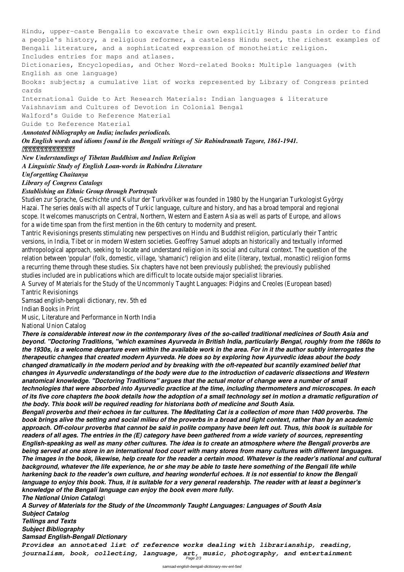Hindu, upper-caste Bengalis to excavate their own explicitly Hindu pasts in order to find a people's history, a religious reformer, a casteless Hindu sect, the richest examples of Bengali literature, and a sophisticated expression of monotheistic religion. Includes entries for maps and atlases. Dictionaries, Encyclopedias, and Other Word-related Books: Multiple languages (with English as one language) Books: subjects; a cumulative list of works represented by Library of Congress printed cards International Guide to Art Research Materials: Indian languages & literature Vaishnavism and Cultures of Devotion in Colonial Bengal Walford's Guide to Reference Material Guide to Reference Material *Annotated bibliography on India; includes periodicals. On English words and idioms found in the Bengali writings of Sir Rabindranath Tagore, 1861-1941. 東京都立中央図書館洋書目錄 New Understandings of Tibetan Buddhism and Indian Religion A Linguistic Study of English Loan-words in Rabindra Literature Unforgetting Chaitanya*

Studien zur Sprache, Geschichte und Kultur der Turkvölker was founded in 1980 by the Hungarian Turkologist Gy Hazai. The series deals with all aspects of Turkic language, culture and history, and has a broad temporal and reg scope. It welcomes manuscripts on Central, Northern, Western and Eastern Asia as well as parts of Europe, and for a wide time span from the first mention in the 6th century to modernity and present.

*Library of Congress Catalogs*

## *Establishing an Ethnic Group through Portrayals*

Tantric Revisionings presents stimulating new perspectives on Hindu and Buddhist religion, particularly their Tant versions, in India, Tibet or in modern Western societies. Geoffrey Samuel adopts an historically and textually info anthropological approach, seeking to locate and understand religion in its social and cultural context. The question relation between 'popular' (folk, domestic, village, 'shamanic') religion and elite (literary, textual, monastic) religion a recurring theme through these studies. Six chapters have not been previously published; the previously publish studies included are in publications which are difficult to locate outside major specialist libraries.

A Survey of Materials for the Study of the Uncommonly Taught Languages: Pidgins and Creoles (European based) Tantric Revisionings

Samsad english-bengali dictionary, rev. 5th ed

Indian Books in Print

Music, Literature and Performance in North India

National Union Catalog

*There is considerable interest now in the contemporary lives of the so-called traditional medicines of South Asia and beyond. "Doctoring Traditions, "which examines Ayurveda in British India, particularly Bengal, roughly from the 1860s to the 1930s, is a welcome departure even within the available work in the area. For in it the author subtly interrogates the therapeutic changes that created modern Ayurveda. He does so by exploring how Ayurvedic ideas about the body changed dramatically in the modern period and by breaking with the oft-repeated but scantily examined belief that changes in Ayurvedic understandings of the body were due to the introduction of cadaveric dissections and Western anatomical knowledge. "Doctoring Traditions" argues that the actual motor of change were a number of small technologies that were absorbed into Ayurvedic practice at the time, including thermometers and microscopes. In each of its five core chapters the book details how the adoption of a small technology set in motion a dramatic refiguration of the body. This book will be required reading for historians both of medicine and South Asia.*

*Bengali proverbs and their echoes in far cultures. The Meditating Cat is a collection of more than 1400 proverbs. The book brings alive the setting and social milieu of the proverbs in a broad and light context, rather than by an academic approach. Off-colour proverbs that cannot be said in polite company have been left out. Thus, this book is suitable for*

*readers of all ages. The entries in the (E) category have been gathered from a wide variety of sources, representing English-speaking as well as many other cultures. The idea is to create an atmosphere where the Bengali proverbs are being served at one store in an international food court with many stores from many cultures with different languages. The images in the book, likewise, help create for the reader a certain mood. Whatever is the reader's national and cultural background, whatever the life experience, he or she may be able to taste here something of the Bengali life while harkening back to the reader's own culture, and hearing wonderful echoes. It is not essential to know the Bengali language to enjoy this book. Thus, it is suitable for a very general readership. The reader with at least a beginner's knowledge of the Bengali language can enjoy the book even more fully. The National Union Catalog\*

*A Survey of Materials for the Study of the Uncommonly Taught Languages: Languages of South Asia Subject Catalog Tellings and Texts*

*Subject Bibliography*

*Samsad English-Bengali Dictionary*

*Provides an annotated list of reference works dealing with librarianship, reading, journalism, book, collecting, language, art, music, photography, and entertainment* Page 2/3